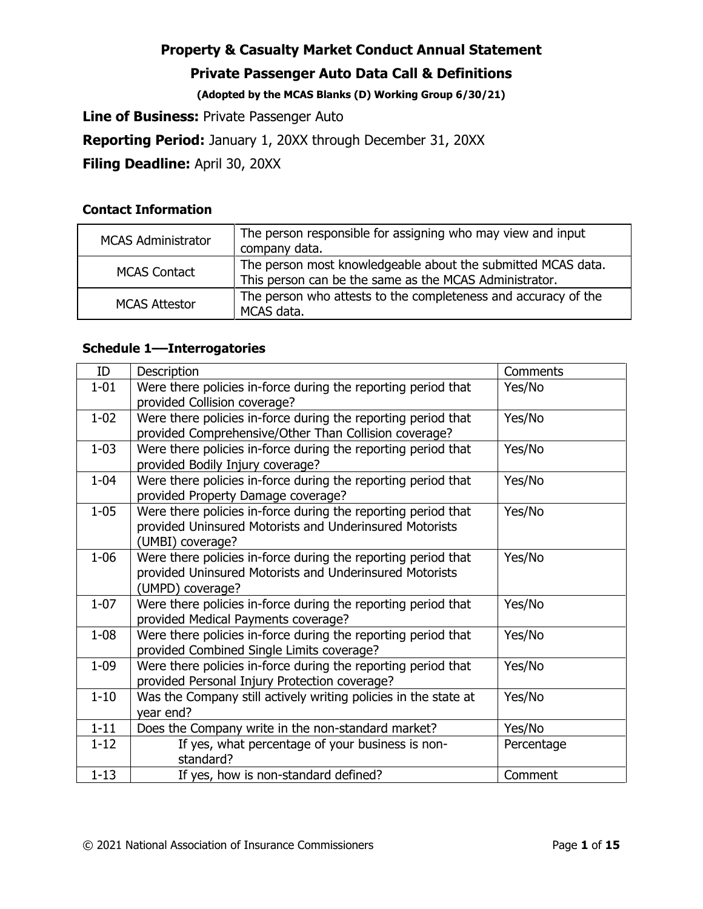### **Private Passenger Auto Data Call & Definitions**

**(Adopted by the MCAS Blanks (D) Working Group 6/30/21)** 

**Line of Business:** Private Passenger Auto

**Reporting Period:** January 1, 20XX through December 31, 20XX

**Filing Deadline:** April 30, 20XX

### **Contact Information**

| <b>MCAS Administrator</b> | The person responsible for assigning who may view and input<br>company data.                                           |
|---------------------------|------------------------------------------------------------------------------------------------------------------------|
| <b>MCAS Contact</b>       | The person most knowledgeable about the submitted MCAS data.<br>This person can be the same as the MCAS Administrator. |
| <b>MCAS Attestor</b>      | The person who attests to the completeness and accuracy of the<br>MCAS data.                                           |

### **Schedule 1––Interrogatories**

| ID       | Description                                                                                                                                                | Comments   |
|----------|------------------------------------------------------------------------------------------------------------------------------------------------------------|------------|
| $1 - 01$ | Were there policies in-force during the reporting period that<br>provided Collision coverage?                                                              | Yes/No     |
| $1 - 02$ | Were there policies in-force during the reporting period that                                                                                              | Yes/No     |
| $1 - 03$ | provided Comprehensive/Other Than Collision coverage?<br>Were there policies in-force during the reporting period that<br>provided Bodily Injury coverage? | Yes/No     |
| $1 - 04$ | Were there policies in-force during the reporting period that<br>provided Property Damage coverage?                                                        | Yes/No     |
| $1 - 05$ | Were there policies in-force during the reporting period that<br>provided Uninsured Motorists and Underinsured Motorists<br>(UMBI) coverage?               | Yes/No     |
| $1 - 06$ | Were there policies in-force during the reporting period that<br>provided Uninsured Motorists and Underinsured Motorists<br>(UMPD) coverage?               | Yes/No     |
| $1 - 07$ | Were there policies in-force during the reporting period that<br>provided Medical Payments coverage?                                                       | Yes/No     |
| $1 - 08$ | Were there policies in-force during the reporting period that<br>provided Combined Single Limits coverage?                                                 | Yes/No     |
| $1 - 09$ | Were there policies in-force during the reporting period that<br>provided Personal Injury Protection coverage?                                             | Yes/No     |
| $1 - 10$ | Was the Company still actively writing policies in the state at<br>year end?                                                                               | Yes/No     |
| $1 - 11$ | Does the Company write in the non-standard market?                                                                                                         | Yes/No     |
| $1 - 12$ | If yes, what percentage of your business is non-<br>standard?                                                                                              | Percentage |
| $1 - 13$ | If yes, how is non-standard defined?                                                                                                                       | Comment    |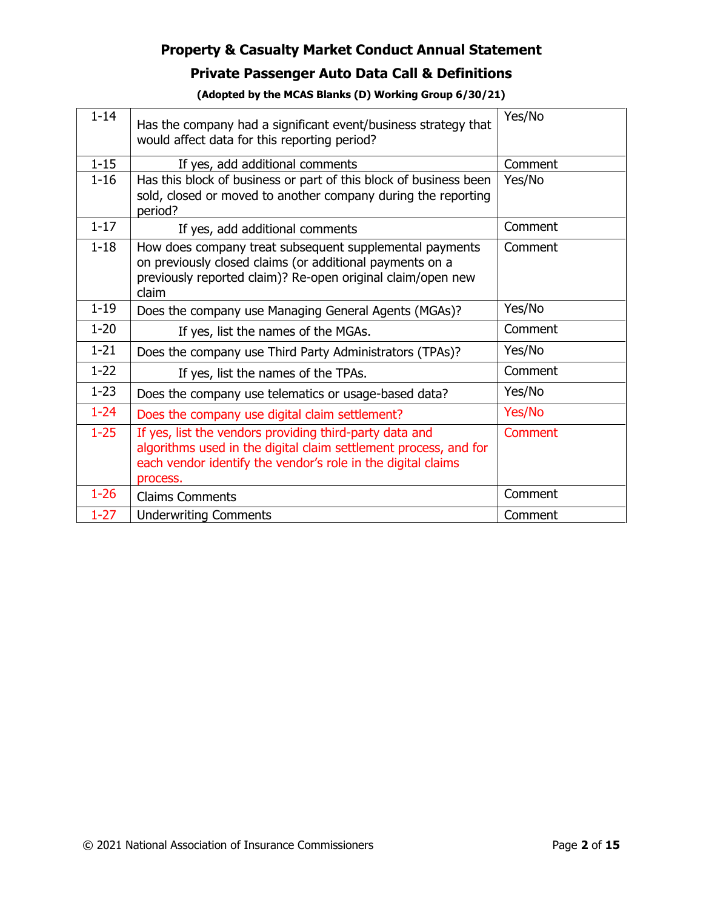# **Private Passenger Auto Data Call & Definitions**

| $1 - 14$ | Has the company had a significant event/business strategy that<br>would affect data for this reporting period?                                                                                          | Yes/No  |
|----------|---------------------------------------------------------------------------------------------------------------------------------------------------------------------------------------------------------|---------|
| $1 - 15$ | If yes, add additional comments                                                                                                                                                                         | Comment |
| $1 - 16$ | Has this block of business or part of this block of business been<br>sold, closed or moved to another company during the reporting<br>period?                                                           | Yes/No  |
| $1 - 17$ | If yes, add additional comments                                                                                                                                                                         | Comment |
| $1 - 18$ | How does company treat subsequent supplemental payments<br>on previously closed claims (or additional payments on a<br>previously reported claim)? Re-open original claim/open new<br>claim             | Comment |
| $1 - 19$ | Does the company use Managing General Agents (MGAs)?                                                                                                                                                    | Yes/No  |
| $1 - 20$ | If yes, list the names of the MGAs.                                                                                                                                                                     | Comment |
| $1 - 21$ | Does the company use Third Party Administrators (TPAs)?                                                                                                                                                 | Yes/No  |
| $1 - 22$ | If yes, list the names of the TPAs.                                                                                                                                                                     | Comment |
| $1 - 23$ | Does the company use telematics or usage-based data?                                                                                                                                                    | Yes/No  |
| $1 - 24$ | Does the company use digital claim settlement?                                                                                                                                                          | Yes/No  |
| $1 - 25$ | If yes, list the vendors providing third-party data and<br>algorithms used in the digital claim settlement process, and for<br>each vendor identify the vendor's role in the digital claims<br>process. | Comment |
| $1 - 26$ | <b>Claims Comments</b>                                                                                                                                                                                  | Comment |
| $1 - 27$ | <b>Underwriting Comments</b>                                                                                                                                                                            | Comment |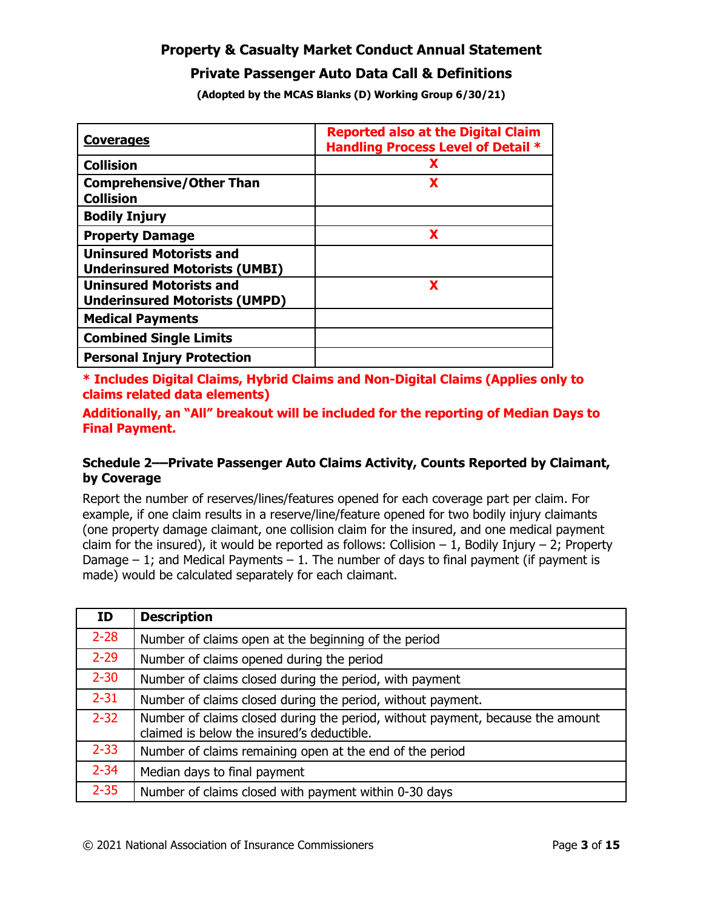#### **Private Passenger Auto Data Call & Definitions**

**(Adopted by the MCAS Blanks (D) Working Group 6/30/21)** 

| <b>Coverages</b>                                                       | <b>Reported also at the Digital Claim</b><br><b>Handling Process Level of Detail *</b> |
|------------------------------------------------------------------------|----------------------------------------------------------------------------------------|
| <b>Collision</b>                                                       | X                                                                                      |
| <b>Comprehensive/Other Than</b><br><b>Collision</b>                    | X                                                                                      |
| <b>Bodily Injury</b>                                                   |                                                                                        |
| <b>Property Damage</b>                                                 | X                                                                                      |
| <b>Uninsured Motorists and</b><br><b>Underinsured Motorists (UMBI)</b> |                                                                                        |
| <b>Uninsured Motorists and</b><br><b>Underinsured Motorists (UMPD)</b> | X                                                                                      |
| <b>Medical Payments</b>                                                |                                                                                        |
| <b>Combined Single Limits</b>                                          |                                                                                        |
| <b>Personal Injury Protection</b>                                      |                                                                                        |

**\* Includes Digital Claims, Hybrid Claims and Non-Digital Claims (Applies only to claims related data elements)** 

**Additionally, an "All" breakout will be included for the reporting of Median Days to Final Payment.** 

#### **Schedule 2––Private Passenger Auto Claims Activity, Counts Reported by Claimant, by Coverage**

Report the number of reserves/lines/features opened for each coverage part per claim. For example, if one claim results in a reserve/line/feature opened for two bodily injury claimants (one property damage claimant, one collision claim for the insured, and one medical payment claim for the insured), it would be reported as follows: Collision  $-1$ , Bodily Injury  $-2$ ; Property Damage  $-1$ ; and Medical Payments  $-1$ . The number of days to final payment (if payment is made) would be calculated separately for each claimant.

| ID       | <b>Description</b>                                                                                                           |
|----------|------------------------------------------------------------------------------------------------------------------------------|
| $2 - 28$ | Number of claims open at the beginning of the period                                                                         |
| $2 - 29$ | Number of claims opened during the period                                                                                    |
| $2 - 30$ | Number of claims closed during the period, with payment                                                                      |
| $2 - 31$ | Number of claims closed during the period, without payment.                                                                  |
| $2 - 32$ | Number of claims closed during the period, without payment, because the amount<br>claimed is below the insured's deductible. |
| $2 - 33$ | Number of claims remaining open at the end of the period                                                                     |
| $2 - 34$ | Median days to final payment                                                                                                 |
| $2 - 35$ | Number of claims closed with payment within 0-30 days                                                                        |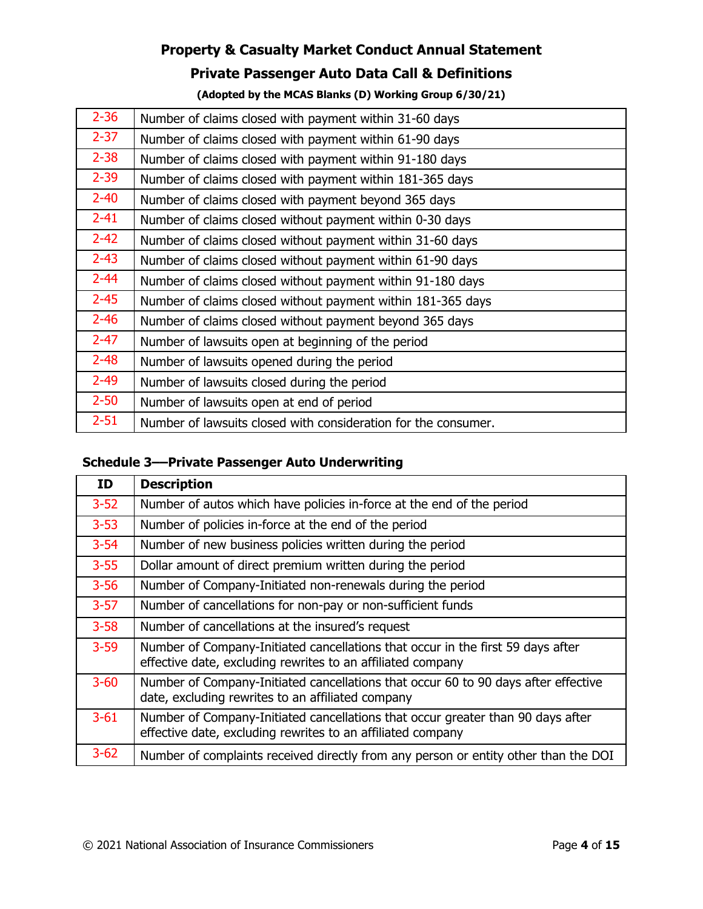## **Private Passenger Auto Data Call & Definitions**

#### **(Adopted by the MCAS Blanks (D) Working Group 6/30/21)**

| $2 - 36$ | Number of claims closed with payment within 31-60 days         |
|----------|----------------------------------------------------------------|
| $2 - 37$ | Number of claims closed with payment within 61-90 days         |
| $2 - 38$ | Number of claims closed with payment within 91-180 days        |
| $2 - 39$ | Number of claims closed with payment within 181-365 days       |
| $2 - 40$ | Number of claims closed with payment beyond 365 days           |
| $2 - 41$ | Number of claims closed without payment within 0-30 days       |
| $2 - 42$ | Number of claims closed without payment within 31-60 days      |
| $2 - 43$ | Number of claims closed without payment within 61-90 days      |
| $2 - 44$ | Number of claims closed without payment within 91-180 days     |
| $2 - 45$ | Number of claims closed without payment within 181-365 days    |
| $2 - 46$ | Number of claims closed without payment beyond 365 days        |
| $2 - 47$ | Number of lawsuits open at beginning of the period             |
| $2 - 48$ | Number of lawsuits opened during the period                    |
| $2 - 49$ | Number of lawsuits closed during the period                    |
| $2 - 50$ | Number of lawsuits open at end of period                       |
| $2 - 51$ | Number of lawsuits closed with consideration for the consumer. |

### **Schedule 3––Private Passenger Auto Underwriting**

| ΙD       | <b>Description</b>                                                                                                                             |
|----------|------------------------------------------------------------------------------------------------------------------------------------------------|
| $3 - 52$ | Number of autos which have policies in-force at the end of the period                                                                          |
| $3 - 53$ | Number of policies in-force at the end of the period                                                                                           |
| $3 - 54$ | Number of new business policies written during the period                                                                                      |
| $3 - 55$ | Dollar amount of direct premium written during the period                                                                                      |
| $3 - 56$ | Number of Company-Initiated non-renewals during the period                                                                                     |
| $3 - 57$ | Number of cancellations for non-pay or non-sufficient funds                                                                                    |
| $3 - 58$ | Number of cancellations at the insured's request                                                                                               |
| $3 - 59$ | Number of Company-Initiated cancellations that occur in the first 59 days after<br>effective date, excluding rewrites to an affiliated company |
| $3 - 60$ | Number of Company-Initiated cancellations that occur 60 to 90 days after effective<br>date, excluding rewrites to an affiliated company        |
| $3 - 61$ | Number of Company-Initiated cancellations that occur greater than 90 days after<br>effective date, excluding rewrites to an affiliated company |
| $3 - 62$ | Number of complaints received directly from any person or entity other than the DOI                                                            |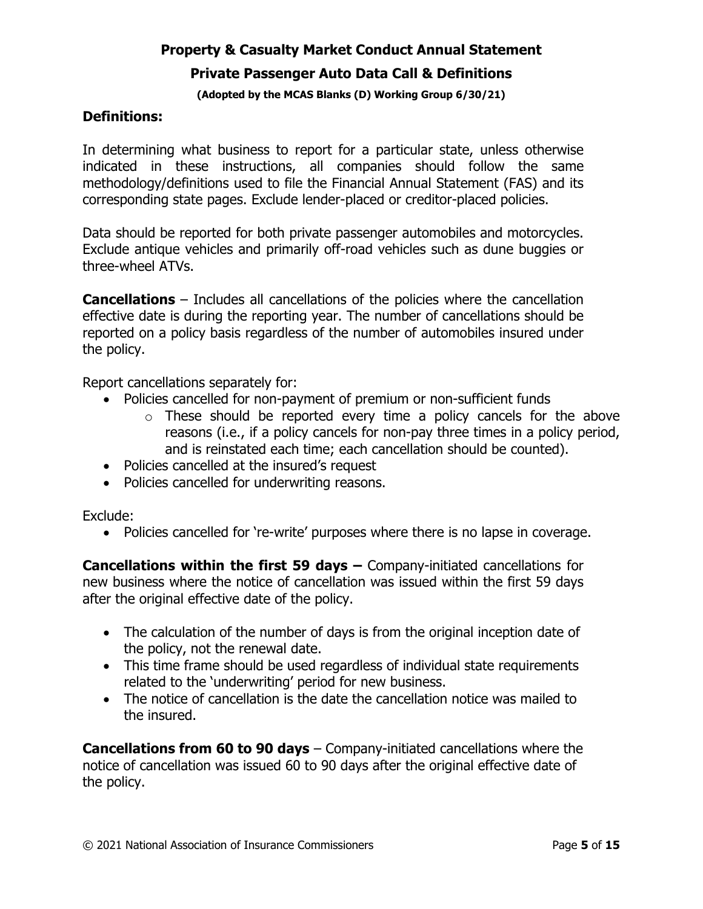# **Property & Casualty Market Conduct Annual Statement Private Passenger Auto Data Call & Definitions**

#### **(Adopted by the MCAS Blanks (D) Working Group 6/30/21)**

### **Definitions:**

In determining what business to report for a particular state, unless otherwise indicated in these instructions, all companies should follow the same methodology/definitions used to file the Financial Annual Statement (FAS) and its corresponding state pages. Exclude lender-placed or creditor-placed policies.

Data should be reported for both private passenger automobiles and motorcycles. Exclude antique vehicles and primarily off-road vehicles such as dune buggies or three-wheel ATVs.

**Cancellations** – Includes all cancellations of the policies where the cancellation effective date is during the reporting year. The number of cancellations should be reported on a policy basis regardless of the number of automobiles insured under the policy.

Report cancellations separately for:

- Policies cancelled for non-payment of premium or non-sufficient funds
	- $\circ$  These should be reported every time a policy cancels for the above reasons (i.e., if a policy cancels for non-pay three times in a policy period, and is reinstated each time; each cancellation should be counted).
- Policies cancelled at the insured's request
- Policies cancelled for underwriting reasons.

Exclude:

• Policies cancelled for 're-write' purposes where there is no lapse in coverage.

**Cancellations within the first 59 days –** Company-initiated cancellations for new business where the notice of cancellation was issued within the first 59 days after the original effective date of the policy.

- The calculation of the number of days is from the original inception date of the policy, not the renewal date.
- This time frame should be used regardless of individual state requirements related to the 'underwriting' period for new business.
- The notice of cancellation is the date the cancellation notice was mailed to the insured.

**Cancellations from 60 to 90 days** – Company-initiated cancellations where the notice of cancellation was issued 60 to 90 days after the original effective date of the policy.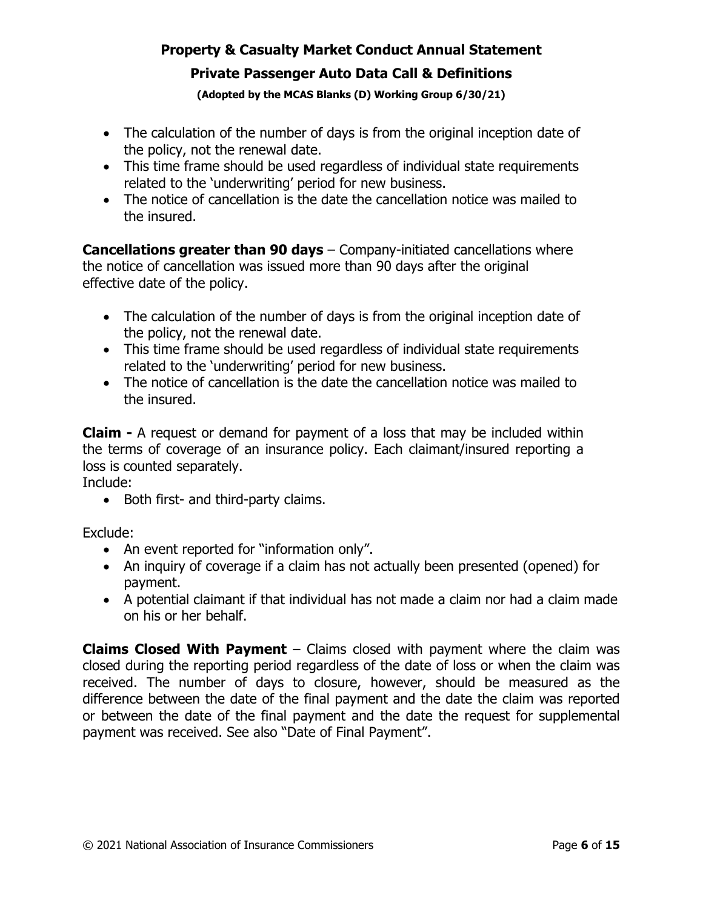# **Property & Casualty Market Conduct Annual Statement Private Passenger Auto Data Call & Definitions**

#### **(Adopted by the MCAS Blanks (D) Working Group 6/30/21)**

- The calculation of the number of days is from the original inception date of the policy, not the renewal date.
- This time frame should be used regardless of individual state requirements related to the 'underwriting' period for new business.
- The notice of cancellation is the date the cancellation notice was mailed to the insured.

**Cancellations greater than 90 days** – Company-initiated cancellations where the notice of cancellation was issued more than 90 days after the original effective date of the policy.

- The calculation of the number of days is from the original inception date of the policy, not the renewal date.
- This time frame should be used regardless of individual state requirements related to the 'underwriting' period for new business.
- The notice of cancellation is the date the cancellation notice was mailed to the insured.

**Claim -** A request or demand for payment of a loss that may be included within the terms of coverage of an insurance policy. Each claimant/insured reporting a loss is counted separately.

Include:

• Both first- and third-party claims.

Exclude:

- An event reported for "information only".
- An inquiry of coverage if a claim has not actually been presented (opened) for payment.
- A potential claimant if that individual has not made a claim nor had a claim made on his or her behalf.

**Claims Closed With Payment** – Claims closed with payment where the claim was closed during the reporting period regardless of the date of loss or when the claim was received. The number of days to closure, however, should be measured as the difference between the date of the final payment and the date the claim was reported or between the date of the final payment and the date the request for supplemental payment was received. See also "Date of Final Payment".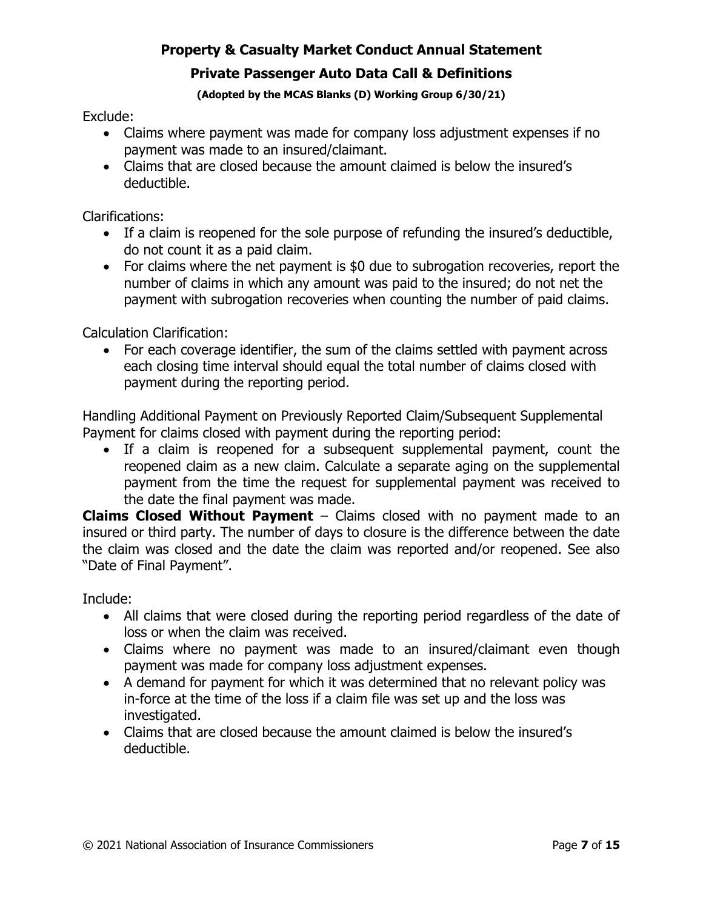### **Private Passenger Auto Data Call & Definitions**

**(Adopted by the MCAS Blanks (D) Working Group 6/30/21)** 

Exclude:

- Claims where payment was made for company loss adjustment expenses if no payment was made to an insured/claimant.
- Claims that are closed because the amount claimed is below the insured's deductible.

Clarifications:

- If a claim is reopened for the sole purpose of refunding the insured's deductible, do not count it as a paid claim.
- For claims where the net payment is \$0 due to subrogation recoveries, report the number of claims in which any amount was paid to the insured; do not net the payment with subrogation recoveries when counting the number of paid claims.

Calculation Clarification:

• For each coverage identifier, the sum of the claims settled with payment across each closing time interval should equal the total number of claims closed with payment during the reporting period.

Handling Additional Payment on Previously Reported Claim/Subsequent Supplemental Payment for claims closed with payment during the reporting period:

• If a claim is reopened for a subsequent supplemental payment, count the reopened claim as a new claim. Calculate a separate aging on the supplemental payment from the time the request for supplemental payment was received to the date the final payment was made.

**Claims Closed Without Payment** – Claims closed with no payment made to an insured or third party. The number of days to closure is the difference between the date the claim was closed and the date the claim was reported and/or reopened. See also "Date of Final Payment".

Include:

- All claims that were closed during the reporting period regardless of the date of loss or when the claim was received.
- Claims where no payment was made to an insured/claimant even though payment was made for company loss adjustment expenses.
- A demand for payment for which it was determined that no relevant policy was in-force at the time of the loss if a claim file was set up and the loss was investigated.
- Claims that are closed because the amount claimed is below the insured's deductible.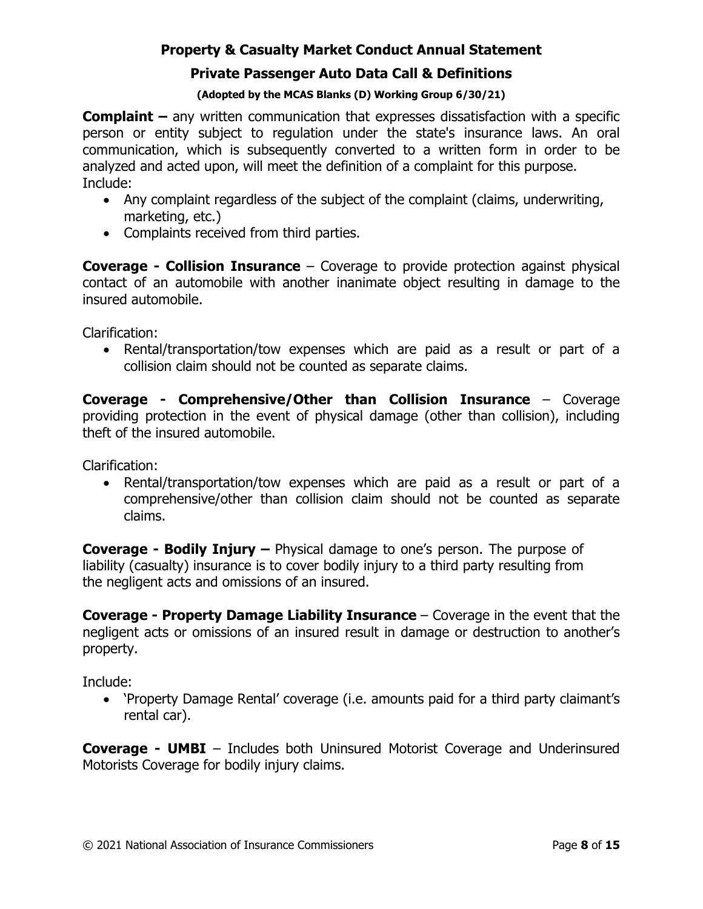### **Private Passenger Auto Data Call & Definitions**

#### **(Adopted by the MCAS Blanks (D) Working Group 6/30/21)**

**Complaint –** any written communication that expresses dissatisfaction with a specific person or entity subject to regulation under the state's insurance laws. An oral communication, which is subsequently converted to a written form in order to be analyzed and acted upon, will meet the definition of a complaint for this purpose. Include:

- Any complaint regardless of the subject of the complaint (claims, underwriting, marketing, etc.)
- Complaints received from third parties.

**Coverage - Collision Insurance** – Coverage to provide protection against physical contact of an automobile with another inanimate object resulting in damage to the insured automobile.

Clarification:

• Rental/transportation/tow expenses which are paid as a result or part of a collision claim should not be counted as separate claims.

**Coverage - Comprehensive/Other than Collision Insurance** – Coverage providing protection in the event of physical damage (other than collision), including theft of the insured automobile.

Clarification:

• Rental/transportation/tow expenses which are paid as a result or part of a comprehensive/other than collision claim should not be counted as separate claims.

**Coverage - Bodily Injury –** Physical damage to one's person. The purpose of liability (casualty) insurance is to cover bodily injury to a third party resulting from the negligent acts and omissions of an insured.

**Coverage - Property Damage Liability Insurance** – Coverage in the event that the negligent acts or omissions of an insured result in damage or destruction to another's property.

Include:

• 'Property Damage Rental' coverage (i.e. amounts paid for a third party claimant's rental car).

**Coverage - UMBI** – Includes both Uninsured Motorist Coverage and Underinsured Motorists Coverage for bodily injury claims.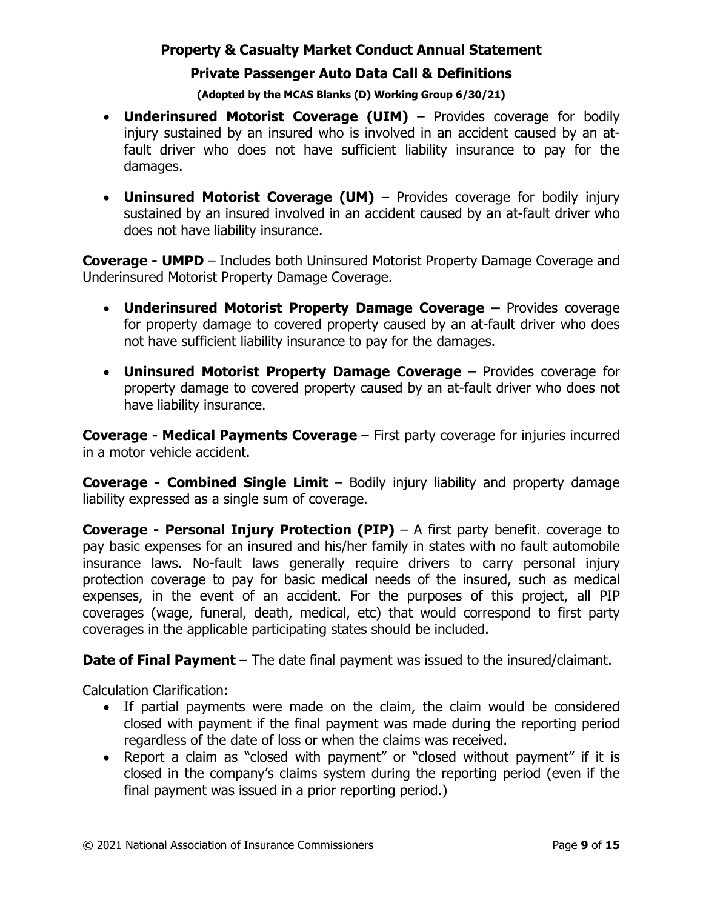### **Private Passenger Auto Data Call & Definitions**

#### **(Adopted by the MCAS Blanks (D) Working Group 6/30/21)**

- **Underinsured Motorist Coverage (UIM)**  Provides coverage for bodily injury sustained by an insured who is involved in an accident caused by an atfault driver who does not have sufficient liability insurance to pay for the damages.
- **Uninsured Motorist Coverage (UM)**  Provides coverage for bodily injury sustained by an insured involved in an accident caused by an at-fault driver who does not have liability insurance.

**Coverage - UMPD** – Includes both Uninsured Motorist Property Damage Coverage and Underinsured Motorist Property Damage Coverage.

- **Underinsured Motorist Property Damage Coverage** Provides coverage for property damage to covered property caused by an at-fault driver who does not have sufficient liability insurance to pay for the damages.
- **Uninsured Motorist Property Damage Coverage**  Provides coverage for property damage to covered property caused by an at-fault driver who does not have liability insurance.

**Coverage - Medical Payments Coverage** – First party coverage for injuries incurred in a motor vehicle accident.

**Coverage - Combined Single Limit** – Bodily injury liability and property damage liability expressed as a single sum of coverage.

**Coverage - Personal Injury Protection (PIP)** – A first party benefit. coverage to pay basic expenses for an insured and his/her family in states with no fault automobile insurance laws. No-fault laws generally require drivers to carry personal injury protection coverage to pay for basic medical needs of the insured, such as medical expenses, in the event of an accident. For the purposes of this project, all PIP coverages (wage, funeral, death, medical, etc) that would correspond to first party coverages in the applicable participating states should be included.

**Date of Final Payment** – The date final payment was issued to the insured/claimant.

Calculation Clarification:

- If partial payments were made on the claim, the claim would be considered closed with payment if the final payment was made during the reporting period regardless of the date of loss or when the claims was received.
- Report a claim as "closed with payment" or "closed without payment" if it is closed in the company's claims system during the reporting period (even if the final payment was issued in a prior reporting period.)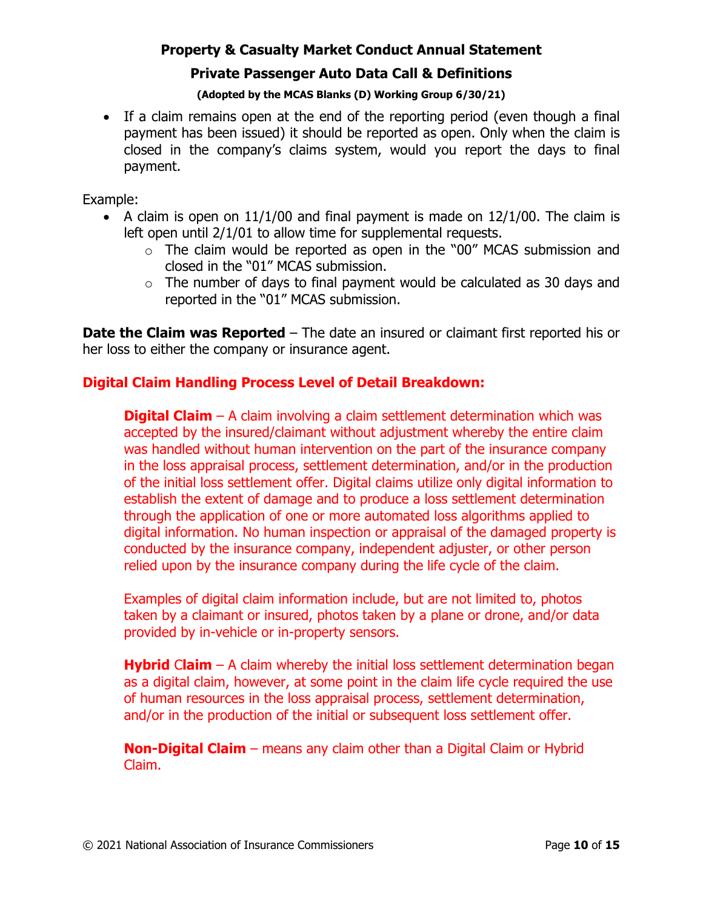## **Private Passenger Auto Data Call & Definitions**

#### **(Adopted by the MCAS Blanks (D) Working Group 6/30/21)**

• If a claim remains open at the end of the reporting period (even though a final payment has been issued) it should be reported as open. Only when the claim is closed in the company's claims system, would you report the days to final payment.

Example:

- A claim is open on  $11/1/00$  and final payment is made on  $12/1/00$ . The claim is left open until 2/1/01 to allow time for supplemental requests.
	- $\circ$  The claim would be reported as open in the "00" MCAS submission and closed in the "01" MCAS submission.
	- $\circ$  The number of days to final payment would be calculated as 30 days and reported in the "01" MCAS submission.

**Date the Claim was Reported** – The date an insured or claimant first reported his or her loss to either the company or insurance agent.

### **Digital Claim Handling Process Level of Detail Breakdown:**

**Digital Claim** – A claim involving a claim settlement determination which was accepted by the insured/claimant without adjustment whereby the entire claim was handled without human intervention on the part of the insurance company in the loss appraisal process, settlement determination, and/or in the production of the initial loss settlement offer. Digital claims utilize only digital information to establish the extent of damage and to produce a loss settlement determination through the application of one or more automated loss algorithms applied to digital information. No human inspection or appraisal of the damaged property is conducted by the insurance company, independent adjuster, or other person relied upon by the insurance company during the life cycle of the claim.

Examples of digital claim information include, but are not limited to, photos taken by a claimant or insured, photos taken by a plane or drone, and/or data provided by in-vehicle or in-property sensors.

**Hybrid** C**laim** – A claim whereby the initial loss settlement determination began as a digital claim, however, at some point in the claim life cycle required the use of human resources in the loss appraisal process, settlement determination, and/or in the production of the initial or subsequent loss settlement offer.

**Non-Digital Claim** – means any claim other than a Digital Claim or Hybrid Claim.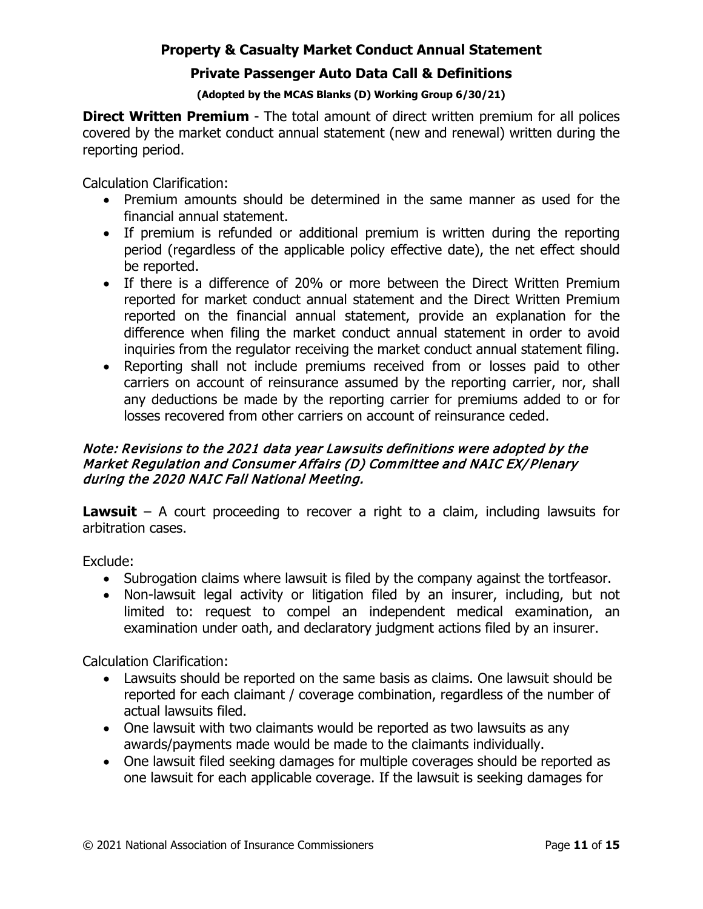### **Private Passenger Auto Data Call & Definitions**

#### **(Adopted by the MCAS Blanks (D) Working Group 6/30/21)**

**Direct Written Premium** - The total amount of direct written premium for all polices covered by the market conduct annual statement (new and renewal) written during the reporting period.

Calculation Clarification:

- Premium amounts should be determined in the same manner as used for the financial annual statement.
- If premium is refunded or additional premium is written during the reporting period (regardless of the applicable policy effective date), the net effect should be reported.
- If there is a difference of 20% or more between the Direct Written Premium reported for market conduct annual statement and the Direct Written Premium reported on the financial annual statement, provide an explanation for the difference when filing the market conduct annual statement in order to avoid inquiries from the regulator receiving the market conduct annual statement filing.
- Reporting shall not include premiums received from or losses paid to other carriers on account of reinsurance assumed by the reporting carrier, nor, shall any deductions be made by the reporting carrier for premiums added to or for losses recovered from other carriers on account of reinsurance ceded.

### Note: Revisions to the 2021 data year Lawsuits definitions were adopted by the Market Regulation and Consumer Affairs (D) Committee and NAIC EX/ Plenary during the 2020 NAIC Fall National Meeting.

**Lawsuit** – A court proceeding to recover a right to a claim, including lawsuits for arbitration cases.

Exclude:

- Subrogation claims where lawsuit is filed by the company against the tortfeasor.
- Non-lawsuit legal activity or litigation filed by an insurer, including, but not limited to: request to compel an independent medical examination, an examination under oath, and declaratory judgment actions filed by an insurer.

Calculation Clarification:

- Lawsuits should be reported on the same basis as claims. One lawsuit should be reported for each claimant / coverage combination, regardless of the number of actual lawsuits filed.
- One lawsuit with two claimants would be reported as two lawsuits as any awards/payments made would be made to the claimants individually.
- One lawsuit filed seeking damages for multiple coverages should be reported as one lawsuit for each applicable coverage. If the lawsuit is seeking damages for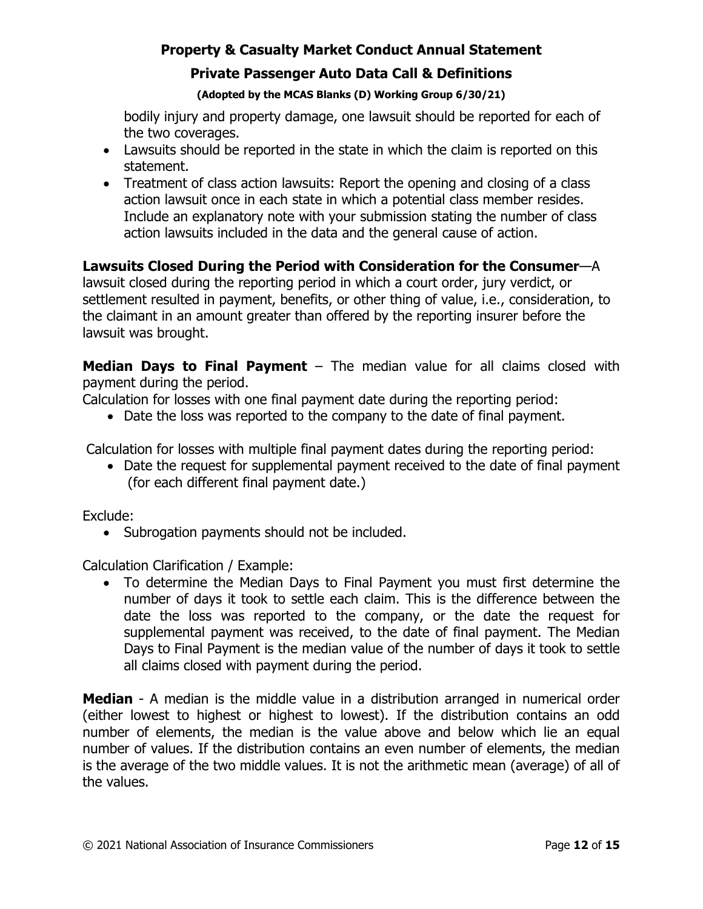# **Private Passenger Auto Data Call & Definitions**

#### **(Adopted by the MCAS Blanks (D) Working Group 6/30/21)**

bodily injury and property damage, one lawsuit should be reported for each of the two coverages.

- Lawsuits should be reported in the state in which the claim is reported on this statement.
- Treatment of class action lawsuits: Report the opening and closing of a class action lawsuit once in each state in which a potential class member resides. Include an explanatory note with your submission stating the number of class action lawsuits included in the data and the general cause of action.

## **Lawsuits Closed During the Period with Consideration for the Consumer**—A

lawsuit closed during the reporting period in which a court order, jury verdict, or settlement resulted in payment, benefits, or other thing of value, i.e., consideration, to the claimant in an amount greater than offered by the reporting insurer before the lawsuit was brought.

**Median Days to Final Payment** – The median value for all claims closed with payment during the period.

Calculation for losses with one final payment date during the reporting period:

• Date the loss was reported to the company to the date of final payment.

Calculation for losses with multiple final payment dates during the reporting period:

• Date the request for supplemental payment received to the date of final payment (for each different final payment date.)

Exclude:

• Subrogation payments should not be included.

Calculation Clarification / Example:

• To determine the Median Days to Final Payment you must first determine the number of days it took to settle each claim. This is the difference between the date the loss was reported to the company, or the date the request for supplemental payment was received, to the date of final payment. The Median Days to Final Payment is the median value of the number of days it took to settle all claims closed with payment during the period.

**Median** - A median is the middle value in a distribution arranged in numerical order (either lowest to highest or highest to lowest). If the distribution contains an odd number of elements, the median is the value above and below which lie an equal number of values. If the distribution contains an even number of elements, the median is the average of the two middle values. It is not the arithmetic mean (average) of all of the values.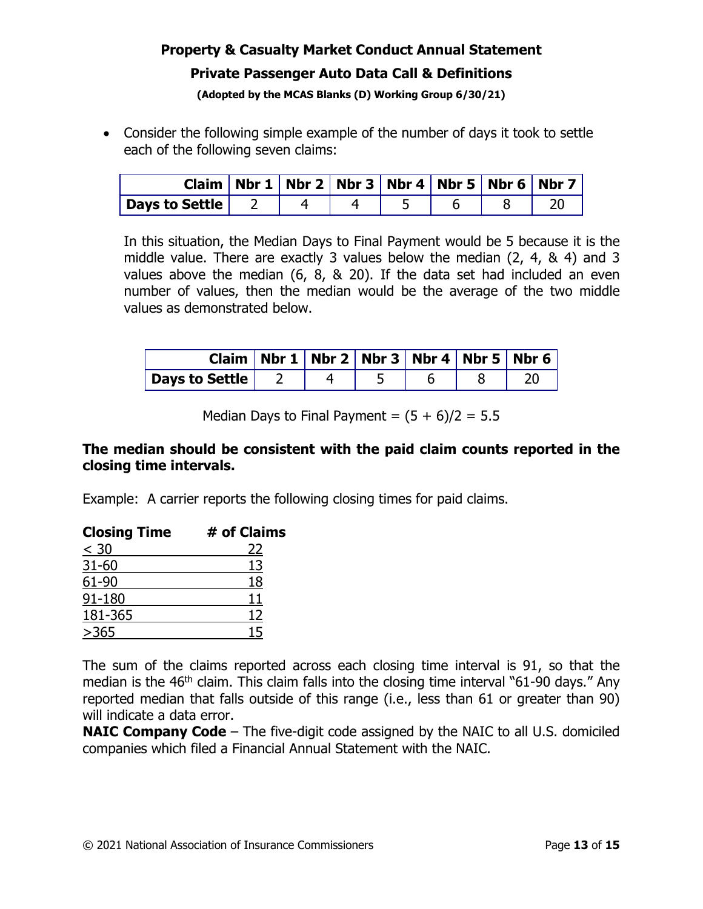# **Property & Casualty Market Conduct Annual Statement Private Passenger Auto Data Call & Definitions**

# **(Adopted by the MCAS Blanks (D) Working Group 6/30/21)**

• Consider the following simple example of the number of days it took to settle each of the following seven claims:

|                |  |  | Claim   Nbr 1   Nbr 2   Nbr 3   Nbr 4   Nbr 5   Nbr 6   Nbr 7 |  |
|----------------|--|--|---------------------------------------------------------------|--|
| Days to Settle |  |  |                                                               |  |

In this situation, the Median Days to Final Payment would be 5 because it is the middle value. There are exactly 3 values below the median (2, 4, & 4) and 3 values above the median (6, 8, & 20). If the data set had included an even number of values, then the median would be the average of the two middle values as demonstrated below.

|                | Claim   Nbr 1   Nbr 2   Nbr 3   Nbr 4   Nbr 5   Nbr 6 |  |  |  |
|----------------|-------------------------------------------------------|--|--|--|
| Days to Settle |                                                       |  |  |  |

Median Days to Final Payment =  $(5 + 6)/2 = 5.5$ 

# **The median should be consistent with the paid claim counts reported in the closing time intervals.**

Example: A carrier reports the following closing times for paid claims.

| <b>Closing Time</b> | # of Claims |
|---------------------|-------------|
| $\leq 30$           | 22          |
| $31 - 60$           | 13          |
| 61-90               | 18          |
| 91-180              | 11          |
| 181-365             | 12          |
| >365                | 15          |

The sum of the claims reported across each closing time interval is 91, so that the median is the  $46<sup>th</sup>$  claim. This claim falls into the closing time interval "61-90 days." Any reported median that falls outside of this range (i.e., less than 61 or greater than 90) will indicate a data error.

**NAIC Company Code** – The five-digit code assigned by the NAIC to all U.S. domiciled companies which filed a Financial Annual Statement with the NAIC.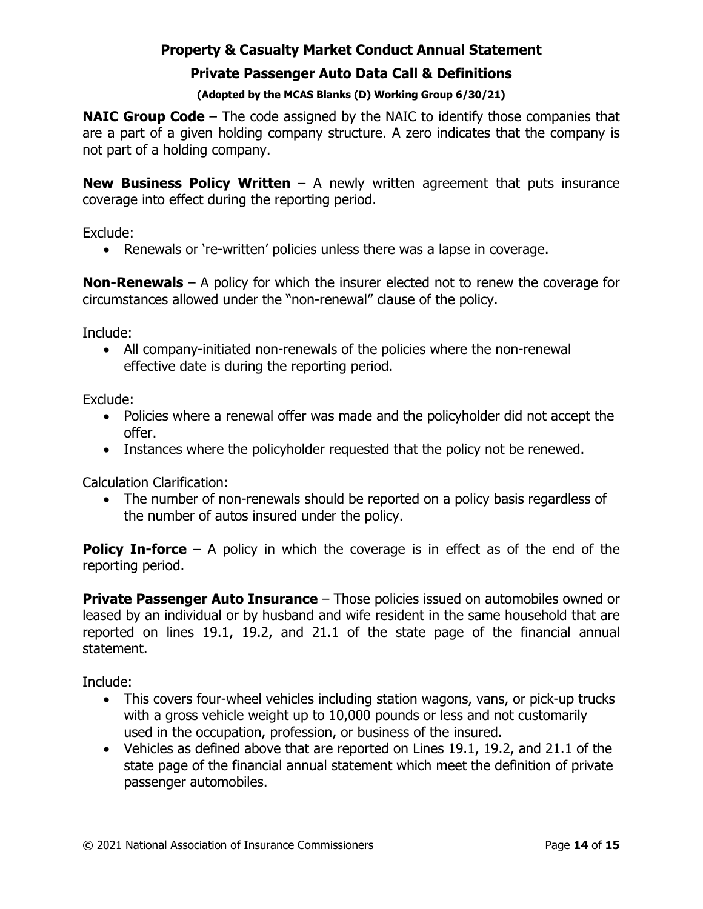### **Private Passenger Auto Data Call & Definitions**

#### **(Adopted by the MCAS Blanks (D) Working Group 6/30/21)**

**NAIC Group Code** – The code assigned by the NAIC to identify those companies that are a part of a given holding company structure. A zero indicates that the company is not part of a holding company.

**New Business Policy Written** – A newly written agreement that puts insurance coverage into effect during the reporting period.

Exclude:

• Renewals or 're-written' policies unless there was a lapse in coverage.

**Non-Renewals** – A policy for which the insurer elected not to renew the coverage for circumstances allowed under the "non-renewal" clause of the policy.

Include:

• All company-initiated non-renewals of the policies where the non-renewal effective date is during the reporting period.

Exclude:

- Policies where a renewal offer was made and the policyholder did not accept the offer.
- Instances where the policyholder requested that the policy not be renewed.

Calculation Clarification:

• The number of non-renewals should be reported on a policy basis regardless of the number of autos insured under the policy.

**Policy In-force** – A policy in which the coverage is in effect as of the end of the reporting period.

**Private Passenger Auto Insurance** – Those policies issued on automobiles owned or leased by an individual or by husband and wife resident in the same household that are reported on lines 19.1, 19.2, and 21.1 of the state page of the financial annual statement.

Include:

- This covers four-wheel vehicles including station wagons, vans, or pick-up trucks with a gross vehicle weight up to 10,000 pounds or less and not customarily used in the occupation, profession, or business of the insured.
- Vehicles as defined above that are reported on Lines 19.1, 19.2, and 21.1 of the state page of the financial annual statement which meet the definition of private passenger automobiles.